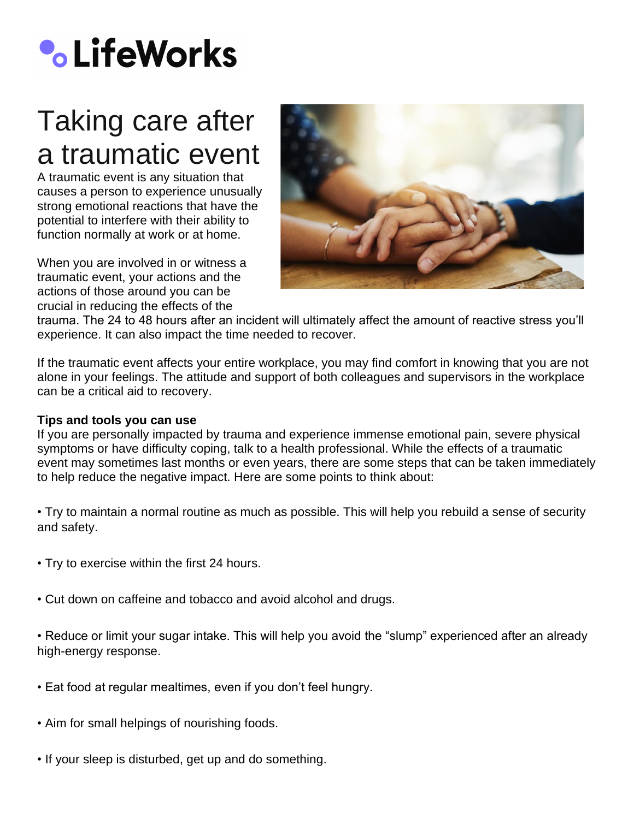# **•** LifeWorks

## Taking care after a traumatic event

A traumatic event is any situation that causes a person to experience unusually strong emotional reactions that have the potential to interfere with their ability to function normally at work or at home.

When you are involved in or witness a traumatic event, your actions and the actions of those around you can be crucial in reducing the effects of the



trauma. The 24 to 48 hours after an incident will ultimately affect the amount of reactive stress you'll experience. It can also impact the time needed to recover.

If the traumatic event affects your entire workplace, you may find comfort in knowing that you are not alone in your feelings. The attitude and support of both colleagues and supervisors in the workplace can be a critical aid to recovery.

#### **Tips and tools you can use**

If you are personally impacted by trauma and experience immense emotional pain, severe physical symptoms or have difficulty coping, talk to a health professional. While the effects of a traumatic event may sometimes last months or even years, there are some steps that can be taken immediately to help reduce the negative impact. Here are some points to think about:

• Try to maintain a normal routine as much as possible. This will help you rebuild a sense of security and safety.

- Try to exercise within the first 24 hours.
- Cut down on caffeine and tobacco and avoid alcohol and drugs.

• Reduce or limit your sugar intake. This will help you avoid the "slump" experienced after an already high-energy response.

- Eat food at regular mealtimes, even if you don't feel hungry.
- Aim for small helpings of nourishing foods.
- If your sleep is disturbed, get up and do something.